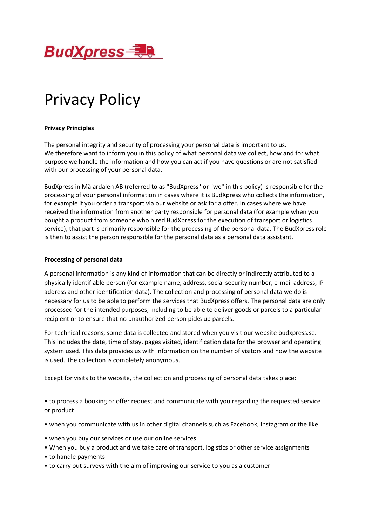

# Privacy Policy

## **Privacy Principles**

The personal integrity and security of processing your personal data is important to us. We therefore want to inform you in this policy of what personal data we collect, how and for what purpose we handle the information and how you can act if you have questions or are not satisfied with our processing of your personal data.

BudXpress in Mälardalen AB (referred to as "BudXpress" or "we" in this policy) is responsible for the processing of your personal information in cases where it is BudXpress who collects the information, for example if you order a transport via our website or ask for a offer. In cases where we have received the information from another party responsible for personal data (for example when you bought a product from someone who hired BudXpress for the execution of transport or logistics service), that part is primarily responsible for the processing of the personal data. The BudXpress role is then to assist the person responsible for the personal data as a personal data assistant.

#### **Processing of personal data**

A personal information is any kind of information that can be directly or indirectly attributed to a physically identifiable person (for example name, address, social security number, e-mail address, IP address and other identification data). The collection and processing of personal data we do is necessary for us to be able to perform the services that BudXpress offers. The personal data are only processed for the intended purposes, including to be able to deliver goods or parcels to a particular recipient or to ensure that no unauthorized person picks up parcels.

For technical reasons, some data is collected and stored when you visit our website budxpress.se. This includes the date, time of stay, pages visited, identification data for the browser and operating system used. This data provides us with information on the number of visitors and how the website is used. The collection is completely anonymous.

Except for visits to the website, the collection and processing of personal data takes place:

• to process a booking or offer request and communicate with you regarding the requested service or product

- when you communicate with us in other digital channels such as Facebook, Instagram or the like.
- when you buy our services or use our online services
- When you buy a product and we take care of transport, logistics or other service assignments
- to handle payments
- to carry out surveys with the aim of improving our service to you as a customer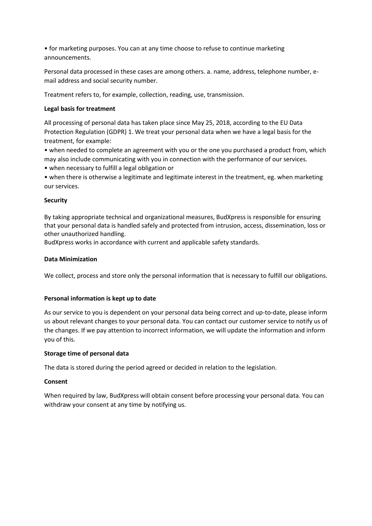• for marketing purposes. You can at any time choose to refuse to continue marketing announcements.

Personal data processed in these cases are among others. a. name, address, telephone number, email address and social security number.

Treatment refers to, for example, collection, reading, use, transmission.

# **Legal basis for treatment**

All processing of personal data has taken place since May 25, 2018, according to the EU Data Protection Regulation (GDPR) 1. We treat your personal data when we have a legal basis for the treatment, for example:

• when needed to complete an agreement with you or the one you purchased a product from, which may also include communicating with you in connection with the performance of our services.

• when necessary to fulfill a legal obligation or

• when there is otherwise a legitimate and legitimate interest in the treatment, eg. when marketing our services.

# **Security**

By taking appropriate technical and organizational measures, BudXpress is responsible for ensuring that your personal data is handled safely and protected from intrusion, access, dissemination, loss or other unauthorized handling.

BudXpress works in accordance with current and applicable safety standards.

# **Data Minimization**

We collect, process and store only the personal information that is necessary to fulfill our obligations.

## **Personal information is kept up to date**

As our service to you is dependent on your personal data being correct and up-to-date, please inform us about relevant changes to your personal data. You can contact our customer service to notify us of the changes. If we pay attention to incorrect information, we will update the information and inform you of this.

# **Storage time of personal data**

The data is stored during the period agreed or decided in relation to the legislation.

## **Consent**

When required by law, BudXpress will obtain consent before processing your personal data. You can withdraw your consent at any time by notifying us.